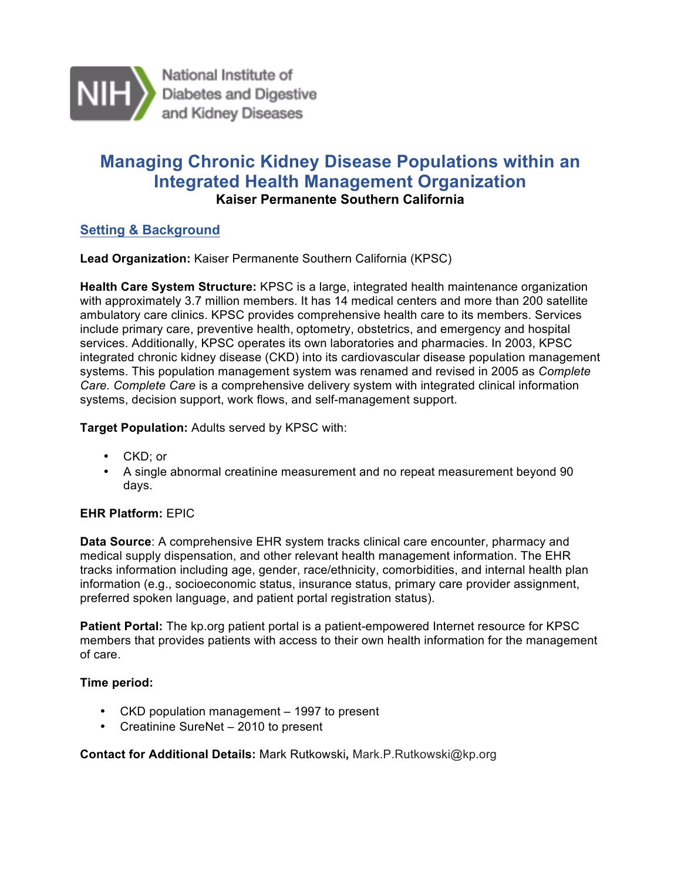

National Institute of Diabetes and Digestive<br>and Kidney Diseases

# **Managing Chronic Kidney Disease Populations within an Kaiser Permanente Southern California Integrated Health Management Organization**

# **Setting & Background**

**Lead Organization:** Kaiser Permanente Southern California (KPSC)

 **Health Care System Structure:** KPSC is a large, integrated health maintenance organization with approximately 3.7 million members. It has 14 medical centers and more than 200 satellite ambulatory care clinics. KPSC provides comprehensive health care to its members. Services include primary care, preventive health, optometry, obstetrics, and emergency and hospital integrated chronic kidney disease (CKD) into its cardiovascular disease population management systems. This population management system was renamed and revised in 2005 as *Complete Care. Complete Care* is a comprehensive delivery system with integrated clinical information systems, decision support, work flows, and self-management support. services. Additionally, KPSC operates its own laboratories and pharmacies. In 2003, KPSC

**Target Population:** Adults served by KPSC with:

- CKD; or
- • A single abnormal creatinine measurement and no repeat measurement beyond 90 days.

### **EHR Platform:** EPIC

 **Data Source**: A comprehensive EHR system tracks clinical care encounter, pharmacy and medical supply dispensation, and other relevant health management information. The EHR tracks information including age, gender, race/ethnicity, comorbidities, and internal health plan information (e.g., socioeconomic status, insurance status, primary care provider assignment, preferred spoken language, and patient portal registration status).

 **Patient Portal:** The kp.org patient portal is a patient-empowered Internet resource for KPSC members that provides patients with access to their own health information for the management of care.

### **Time period:**

- CKD population management 1997 to present
- Creatinine SureNet 2010 to present

### **Contact for Additional Details:** Mark Rutkowski**,** Mark.P.Rutkowski@kp.org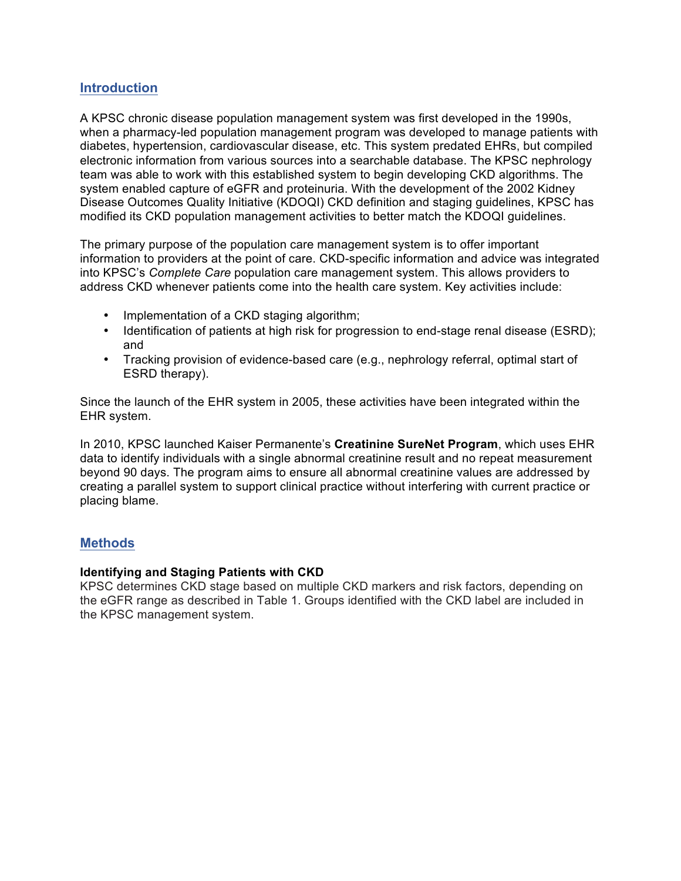## **Introduction**

 A KPSC chronic disease population management system was first developed in the 1990s, when a pharmacy-led population management program was developed to manage patients with diabetes, hypertension, cardiovascular disease, etc. This system predated EHRs, but compiled electronic information from various sources into a searchable database. The KPSC nephrology system enabled capture of eGFR and proteinuria. With the development of the 2002 Kidney Disease Outcomes Quality Initiative (KDOQI) CKD definition and staging guidelines, KPSC has modified its CKD population management activities to better match the KDOQI guidelines. team was able to work with this established system to begin developing CKD algorithms. The

 The primary purpose of the population care management system is to offer important information to providers at the point of care. CKD-specific information and advice was integrated into KPSC's *Complete Care* population care management system. This allows providers to address CKD whenever patients come into the health care system. Key activities include:

- Implementation of a CKD staging algorithm;
- • Identification of patients at high risk for progression to end-stage renal disease (ESRD); and
- • Tracking provision of evidence-based care (e.g., nephrology referral, optimal start of ESRD therapy).

 Since the launch of the EHR system in 2005, these activities have been integrated within the EHR system.

 data to identify individuals with a single abnormal creatinine result and no repeat measurement beyond 90 days. The program aims to ensure all abnormal creatinine values are addressed by creating a parallel system to support clinical practice without interfering with current practice or In 2010, KPSC launched Kaiser Permanente's **Creatinine SureNet Program**, which uses EHR placing blame.

### **Methods**

#### **Identifying and Staging Patients with CKD**

 KPSC determines CKD stage based on multiple CKD markers and risk factors, depending on the eGFR range as described in Table 1. Groups identified with the CKD label are included in the KPSC management system.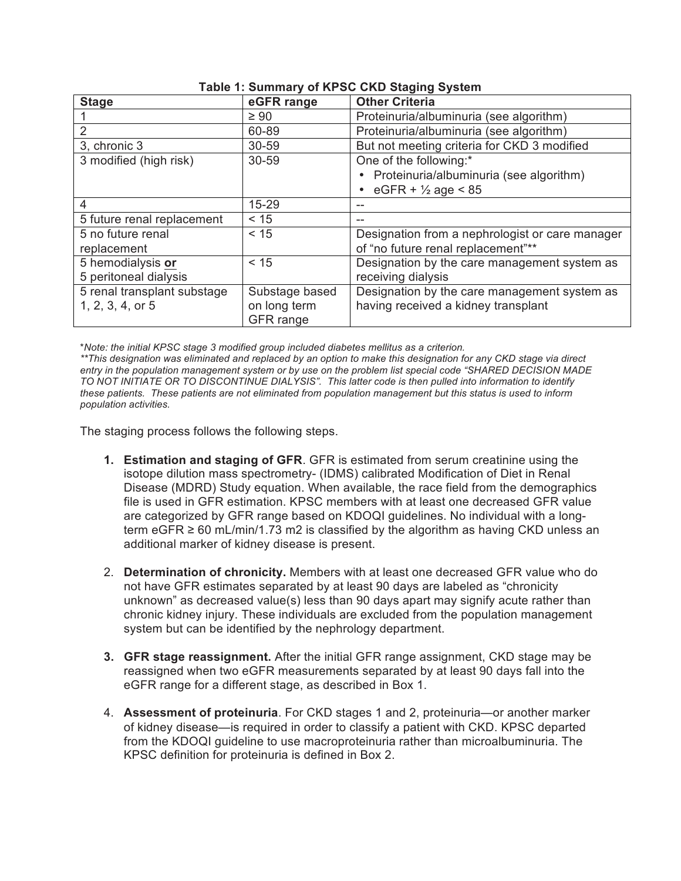| <b>Stage</b>                | eGFR range     | <b>Other Criteria</b>                           |
|-----------------------------|----------------|-------------------------------------------------|
|                             | $\geq 90$      | Proteinuria/albuminuria (see algorithm)         |
| 2                           | 60-89          | Proteinuria/albuminuria (see algorithm)         |
| 3, chronic 3                | 30-59          | But not meeting criteria for CKD 3 modified     |
| 3 modified (high risk)      | 30-59          | One of the following:*                          |
|                             |                | • Proteinuria/albuminuria (see algorithm)       |
|                             |                | eGFR + $\frac{1}{2}$ age < 85                   |
| 4                           | $15 - 29$      | --                                              |
| 5 future renal replacement  | < 15           | $- -$                                           |
| 5 no future renal           | < 15           | Designation from a nephrologist or care manager |
| replacement                 |                | of "no future renal replacement"**              |
| 5 hemodialysis or           | < 15           | Designation by the care management system as    |
| 5 peritoneal dialysis       |                | receiving dialysis                              |
| 5 renal transplant substage | Substage based | Designation by the care management system as    |
| 1, 2, 3, 4, or 5            | on long term   | having received a kidney transplant             |
|                             | GFR range      |                                                 |

#### **Table 1: Summary of KPSC CKD Staging System**

 \**Note: the initial KPSC stage 3 modified group included diabetes mellitus as a criterion.* 

 *\*\*This designation was eliminated and replaced by an option to make this designation for any CKD stage via direct entry in the population management system or by use on the problem list special code "SHARED DECISION MADE TO NOT INITIATE OR TO DISCONTINUE DIALYSIS". This latter code is then pulled into information to identify these patients. These patients are not eliminated from population management but this status is used to inform population activities.* 

The staging process follows the following steps.

- **1. Estimation and staging of GFR**. GFR is estimated from serum creatinine using the isotope dilution mass spectrometry- (IDMS) calibrated Modification of Diet in Renal Disease (MDRD) Study equation. When available, the race field from the demographics file is used in GFR estimation. KPSC members with at least one decreased GFR value are categorized by GFR range based on KDOQI guidelines. No individual with a longterm eGFR  $\geq$  60 mL/min/1.73 m2 is classified by the algorithm as having CKD unless an additional marker of kidney disease is present.
- 2. **Determination of chronicity.** Members with at least one decreased GFR value who do not have GFR estimates separated by at least 90 days are labeled as "chronicity unknown" as decreased value(s) less than 90 days apart may signify acute rather than chronic kidney injury. These individuals are excluded from the population management system but can be identified by the nephrology department.
- **3. GFR stage reassignment.** After the initial GFR range assignment, CKD stage may be reassigned when two eGFR measurements separated by at least 90 days fall into the eGFR range for a different stage, as described in Box 1.
- 4. **Assessment of proteinuria**. For CKD stages 1 and 2, proteinuria—or another marker of kidney disease—is required in order to classify a patient with CKD. KPSC departed from the KDOQI guideline to use macroproteinuria rather than microalbuminuria. The KPSC definition for proteinuria is defined in Box 2.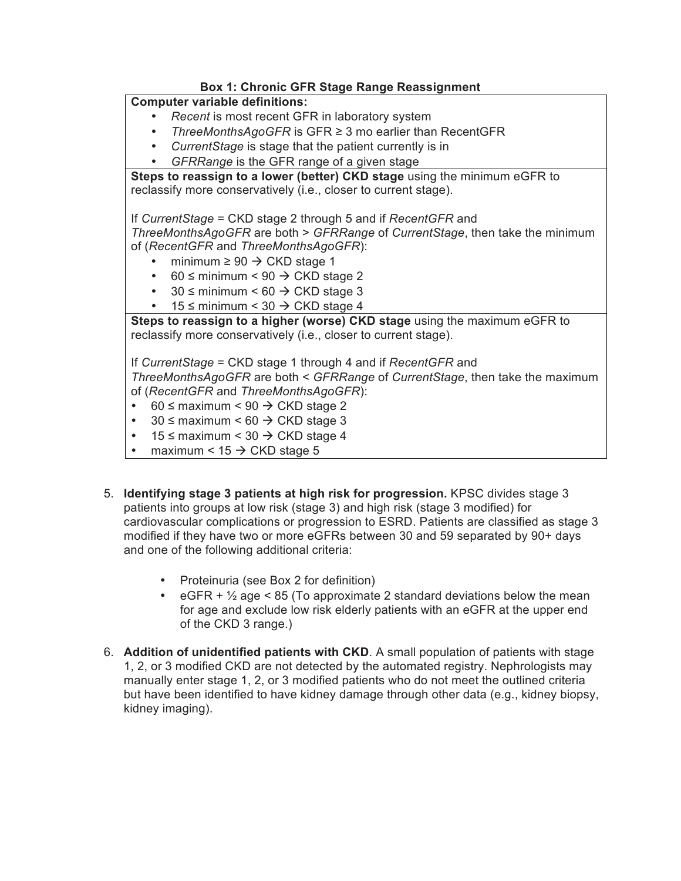# **Box 1: Chronic GFR Stage Range Reassignment**

### **Computer variable definitions:**

- *Recent* is most recent GFR in laboratory system
- *ThreeMonthsAgoGFR* is GFR ≥ 3 mo earlier than RecentGFR
- *CurrentStage* is stage that the patient currently is in
- *GFRRange* is the GFR range of a given stage

 **Steps to reassign to a lower (better) CKD stage** using the minimum eGFR to reclassify more conservatively (i.e., closer to current stage).

If *CurrentStage* = CKD stage 2 through 5 and if *RecentGFR* and

*ThreeMonthsAgoGFR* are both > *GFRRange* of *CurrentStage*, then take the minimum of (*RecentGFR* and *ThreeMonthsAgoGFR*):

- minimum  $\geq 90 \rightarrow \text{CKD stage 1}$
- $60 \leq$  minimum < 90  $\rightarrow$  CKD stage 2
- 30  $\leq$  minimum  $\leq 60 \Rightarrow$  CKD stage 3
- 15  $\leq$  minimum  $\leq$  30  $\Rightarrow$  CKD stage 4

 **Steps to reassign to a higher (worse) CKD stage** using the maximum eGFR to reclassify more conservatively (i.e., closer to current stage).

reclassify more conservatively (i.e., closer to current stage). If *CurrentStage* = CKD stage 1 through 4 and if *RecentGFR* and

*ThreeMonthsAgoGFR* are both < *GFRRange* of *CurrentStage*, then take the maximum of (*RecentGFR* and *ThreeMonthsAgoGFR*):

- $\bullet$  $60 \leq$  maximum < 90  $\rightarrow$  CKD stage 2
- $30 \leq$  maximum < 60  $\rightarrow$  CKD stage 3
- 15  $\leq$  maximum < 30  $\Rightarrow$  CKD stage 4
- maximum <  $15 \rightarrow$  CKD stage 5
- 5. **Identifying stage 3 patients at high risk for progression.** KPSC divides stage 3 patients into groups at low risk (stage 3) and high risk (stage 3 modified) for cardiovascular complications or progression to ESRD. Patients are classified as stage 3 modified if they have two or more eGFRs between 30 and 59 separated by 90+ days and one of the following additional criteria:
	- Proteinuria (see Box 2 for definition)
	- eGFR  $+$  1/<sub>2</sub> age  $<$  85 (To approximate 2 standard deviations below the mean for age and exclude low risk elderly patients with an eGFR at the upper end of the CKD 3 range.)
- 6. **Addition of unidentified patients with CKD**. A small population of patients with stage 1, 2, or 3 modified CKD are not detected by the automated registry. Nephrologists may manually enter stage 1, 2, or 3 modified patients who do not meet the outlined criteria but have been identified to have kidney damage through other data (e.g., kidney biopsy, kidney imaging).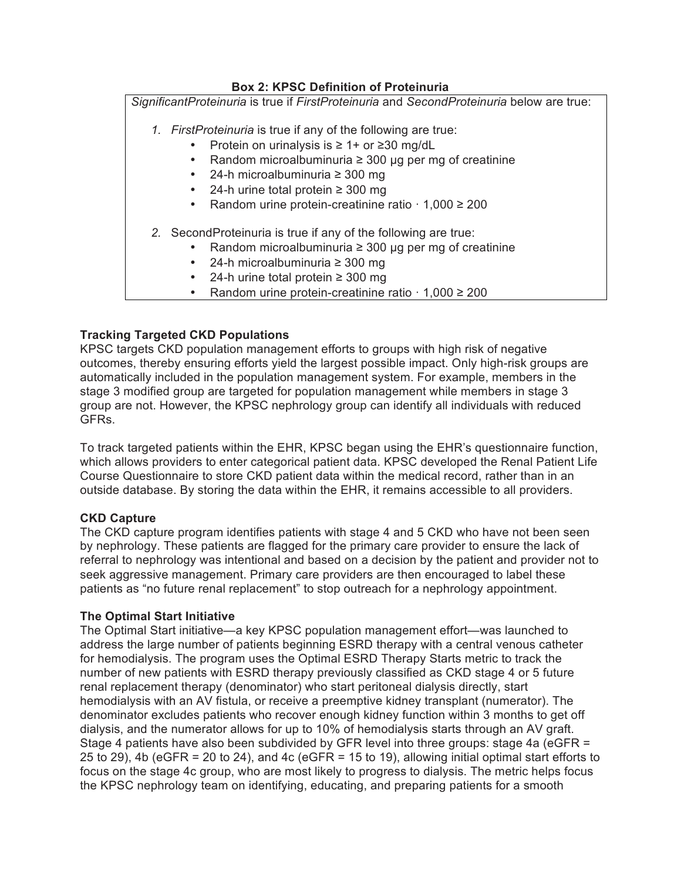## **Box 2: KPSC Definition of Proteinuria**

*SignificantProteinuria* is true if *FirstProteinuria* and *SecondProteinuria* below are true:

- *1. FirstProteinuria* is true if any of the following are true:
	- Protein on urinalysis is ≥ 1+ or ≥30 mg/dL
	- Random microalbuminuria ≥ 300 µg per mg of creatinine
	- 24-h microalbuminuria ≥ 300 mg
	- 24-h urine total protein ≥ 300 mg
	- Random urine protein-creatinine ratio · 1,000 ≥ 200
- *2.* SecondProteinuria is true if any of the following are true:
	- Random microalbuminuria ≥ 300 µg per mg of creatinine
	- 24-h microalbuminuria ≥ 300 mg
	- 24-h urine total protein ≥ 300 mg
	- Random urine protein-creatinine ratio · 1,000 ≥ 200

## **Tracking Targeted CKD Populations**

 KPSC targets CKD population management efforts to groups with high risk of negative outcomes, thereby ensuring efforts yield the largest possible impact. Only high-risk groups are automatically included in the population management system. For example, members in the stage 3 modified group are targeted for population management while members in stage 3 group are not. However, the KPSC nephrology group can identify all individuals with reduced GFRs.

 To track targeted patients within the EHR, KPSC began using the EHR's questionnaire function, which allows providers to enter categorical patient data. KPSC developed the Renal Patient Life Course Questionnaire to store CKD patient data within the medical record, rather than in an outside database. By storing the data within the EHR, it remains accessible to all providers.

### **CKD Capture**

 The CKD capture program identifies patients with stage 4 and 5 CKD who have not been seen by nephrology. These patients are flagged for the primary care provider to ensure the lack of referral to nephrology was intentional and based on a decision by the patient and provider not to seek aggressive management. Primary care providers are then encouraged to label these patients as "no future renal replacement" to stop outreach for a nephrology appointment.

### **The Optimal Start Initiative**

 The Optimal Start initiative—a key KPSC population management effort—was launched to address the large number of patients beginning ESRD therapy with a central venous catheter for hemodialysis. The program uses the Optimal ESRD Therapy Starts metric to track the number of new patients with ESRD therapy previously classified as CKD stage 4 or 5 future renal replacement therapy (denominator) who start peritoneal dialysis directly, start hemodialysis with an AV fistula, or receive a preemptive kidney transplant (numerator). The denominator excludes patients who recover enough kidney function within 3 months to get off dialysis, and the numerator allows for up to 10% of hemodialysis starts through an AV graft. Stage 4 patients have also been subdivided by GFR level into three groups: stage 4a (eGFR = 25 to 29), 4b (eGFR = 20 to 24), and 4c (eGFR = 15 to 19), allowing initial optimal start efforts to focus on the stage 4c group, who are most likely to progress to dialysis. The metric helps focus the KPSC nephrology team on identifying, educating, and preparing patients for a smooth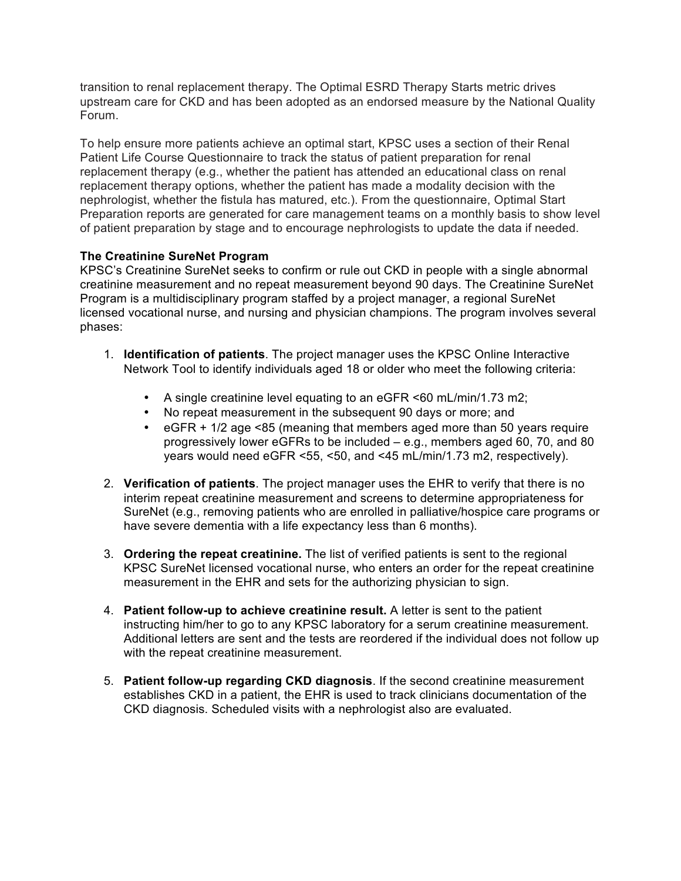transition to renal replacement therapy. The Optimal ESRD Therapy Starts metric drives upstream care for CKD and has been adopted as an endorsed measure by the National Quality Forum.

 To help ensure more patients achieve an optimal start, KPSC uses a section of their Renal Patient Life Course Questionnaire to track the status of patient preparation for renal replacement therapy (e.g., whether the patient has attended an educational class on renal replacement therapy options, whether the patient has made a modality decision with the nephrologist, whether the fistula has matured, etc.). From the questionnaire, Optimal Start Preparation reports are generated for care management teams on a monthly basis to show level of patient preparation by stage and to encourage nephrologists to update the data if needed.

## **The Creatinine SureNet Program**

 KPSC's Creatinine SureNet seeks to confirm or rule out CKD in people with a single abnormal creatinine measurement and no repeat measurement beyond 90 days. The Creatinine SureNet Program is a multidisciplinary program staffed by a project manager, a regional SureNet licensed vocational nurse, and nursing and physician champions. The program involves several phases:

- 1. **Identification of patients**. The project manager uses the KPSC Online Interactive Network Tool to identify individuals aged 18 or older who meet the following criteria:
	- A single creatinine level equating to an eGFR <60 mL/min/1.73 m2;
	- No repeat measurement in the subsequent 90 days or more; and
	- • eGFR + 1/2 age <85 (meaning that members aged more than 50 years require progressively lower eGFRs to be included – e.g., members aged 60, 70, and 80 years would need eGFR <55, <50, and <45 mL/min/1.73 m2, respectively).
- 2. **Verification of patients**. The project manager uses the EHR to verify that there is no interim repeat creatinine measurement and screens to determine appropriateness for SureNet (e.g., removing patients who are enrolled in palliative/hospice care programs or have severe dementia with a life expectancy less than 6 months).
- 3. **Ordering the repeat creatinine.** The list of verified patients is sent to the regional KPSC SureNet licensed vocational nurse, who enters an order for the repeat creatinine measurement in the EHR and sets for the authorizing physician to sign.
- 4. **Patient follow-up to achieve creatinine result.** A letter is sent to the patient instructing him/her to go to any KPSC laboratory for a serum creatinine measurement. Additional letters are sent and the tests are reordered if the individual does not follow up with the repeat creatinine measurement.
- establishes CKD in a patient, the EHR is used to track clinicians documentation of the CKD diagnosis. Scheduled visits with a nephrologist also are evaluated. 5. **Patient follow-up regarding CKD diagnosis**. If the second creatinine measurement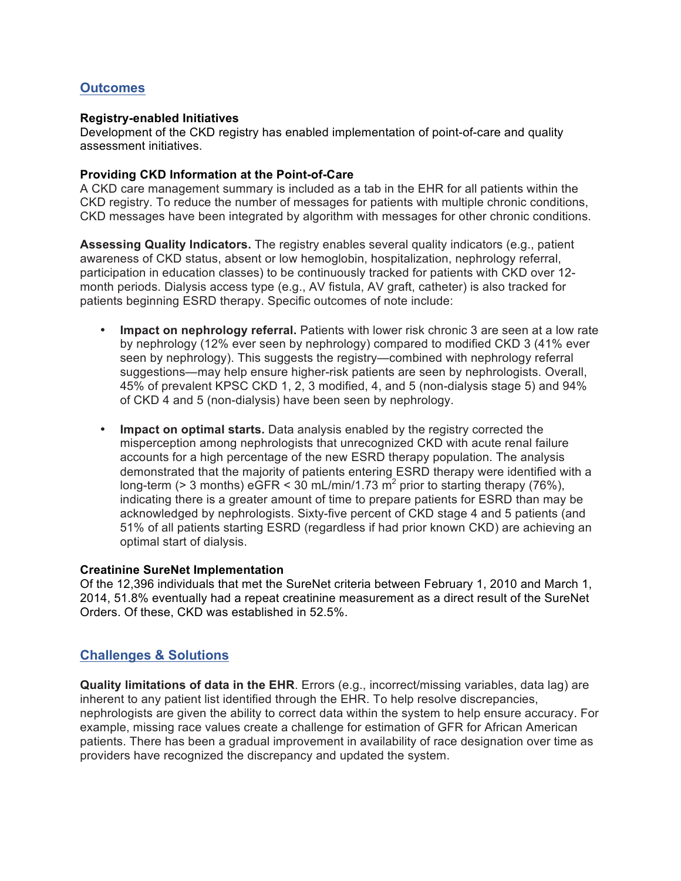# **Outcomes**

#### **Registry-enabled Initiatives**

 Development of the CKD registry has enabled implementation of point-of-care and quality assessment initiatives.

#### **Providing CKD Information at the Point-of-Care**

 A CKD care management summary is included as a tab in the EHR for all patients within the CKD registry. To reduce the number of messages for patients with multiple chronic conditions, CKD messages have been integrated by algorithm with messages for other chronic conditions.

 **Assessing Quality Indicators.** The registry enables several quality indicators (e.g., patient awareness of CKD status, absent or low hemoglobin, hospitalization, nephrology referral, participation in education classes) to be continuously tracked for patients with CKD over 12- month periods. Dialysis access type (e.g., AV fistula, AV graft, catheter) is also tracked for patients beginning ESRD therapy. Specific outcomes of note include:

- • **Impact on nephrology referral.** Patients with lower risk chronic 3 are seen at a low rate by nephrology (12% ever seen by nephrology) compared to modified CKD 3 (41% ever seen by nephrology). This suggests the registry—combined with nephrology referral suggestions—may help ensure higher-risk patients are seen by nephrologists. Overall, 45% of prevalent KPSC CKD 1, 2, 3 modified, 4, and 5 (non-dialysis stage 5) and 94% of CKD 4 and 5 (non-dialysis) have been seen by nephrology.
- • **Impact on optimal starts.** Data analysis enabled by the registry corrected the misperception among nephrologists that unrecognized CKD with acute renal failure accounts for a high percentage of the new ESRD therapy population. The analysis demonstrated that the majority of patients entering ESRD therapy were identified with a long-term (> 3 months) eGFR < 30 mL/min/1.73 m<sup>2</sup> prior to starting therapy (76%), acknowledged by nephrologists. Sixty-five percent of CKD stage 4 and 5 patients (and 51% of all patients starting ESRD (regardless if had prior known CKD) are achieving an optimal start of dialysis. indicating there is a greater amount of time to prepare patients for ESRD than may be

#### **Creatinine SureNet Implementation**

 Of the 12,396 individuals that met the SureNet criteria between February 1, 2010 and March 1, 2014, 51.8% eventually had a repeat creatinine measurement as a direct result of the SureNet Orders. Of these, CKD was established in 52.5%.

# **Challenges & Solutions**

 **Quality limitations of data in the EHR**. Errors (e.g., incorrect/missing variables, data lag) are inherent to any patient list identified through the EHR. To help resolve discrepancies, nephrologists are given the ability to correct data within the system to help ensure accuracy. For example, missing race values create a challenge for estimation of GFR for African American patients. There has been a gradual improvement in availability of race designation over time as providers have recognized the discrepancy and updated the system.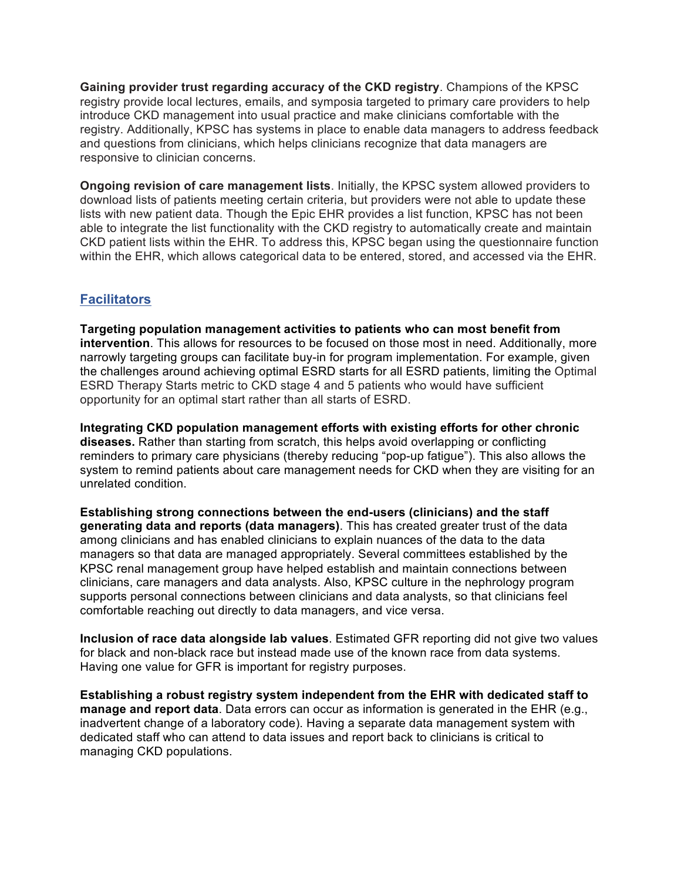**Gaining provider trust regarding accuracy of the CKD registry**. Champions of the KPSC registry provide local lectures, emails, and symposia targeted to primary care providers to help introduce CKD management into usual practice and make clinicians comfortable with the registry. Additionally, KPSC has systems in place to enable data managers to address feedback and questions from clinicians, which helps clinicians recognize that data managers are responsive to clinician concerns.

 **Ongoing revision of care management lists**. Initially, the KPSC system allowed providers to download lists of patients meeting certain criteria, but providers were not able to update these lists with new patient data. Though the Epic EHR provides a list function, KPSC has not been able to integrate the list functionality with the CKD registry to automatically create and maintain CKD patient lists within the EHR. To address this, KPSC began using the questionnaire function within the EHR, which allows categorical data to be entered, stored, and accessed via the EHR.

# **Facilitators**

 **Targeting population management activities to patients who can most benefit from**  narrowly targeting groups can facilitate buy-in for program implementation. For example, given ESRD Therapy Starts metric to CKD stage 4 and 5 patients who would have sufficient opportunity for an optimal start rather than all starts of ESRD. **intervention**. This allows for resources to be focused on those most in need. Additionally, more the challenges around achieving optimal ESRD starts for all ESRD patients, limiting the Optimal

 **diseases.** Rather than starting from scratch, this helps avoid overlapping or conflicting reminders to primary care physicians (thereby reducing "pop-up fatigue"). This also allows the system to remind patients about care management needs for CKD when they are visiting for an **Integrating CKD population management efforts with existing efforts for other chronic**  unrelated condition.

 **Establishing strong connections between the end-users (clinicians) and the staff generating data and reports (data managers)**. This has created greater trust of the data among clinicians and has enabled clinicians to explain nuances of the data to the data managers so that data are managed appropriately. Several committees established by the KPSC renal management group have helped establish and maintain connections between clinicians, care managers and data analysts. Also, KPSC culture in the nephrology program supports personal connections between clinicians and data analysts, so that clinicians feel comfortable reaching out directly to data managers, and vice versa.

 for black and non-black race but instead made use of the known race from data systems. Having one value for GFR is important for registry purposes. **Inclusion of race data alongside lab values**. Estimated GFR reporting did not give two values

 **Establishing a robust registry system independent from the EHR with dedicated staff to manage and report data**. Data errors can occur as information is generated in the EHR (e.g., inadvertent change of a laboratory code). Having a separate data management system with dedicated staff who can attend to data issues and report back to clinicians is critical to managing CKD populations.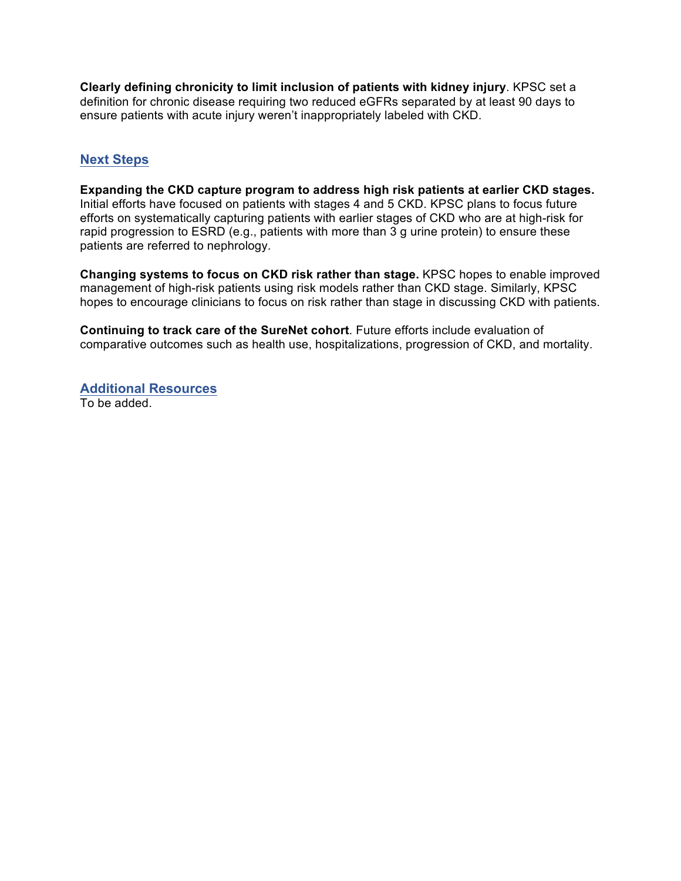**Clearly defining chronicity to limit inclusion of patients with kidney injury**. KPSC set a definition for chronic disease requiring two reduced eGFRs separated by at least 90 days to ensure patients with acute injury weren't inappropriately labeled with CKD.

# **Next Steps**

**Next Steps**<br>Expanding the CKD capture program to address high risk patients at earlier CKD stages. efforts on systematically capturing patients with earlier stages of CKD who are at high-risk for rapid progression to ESRD (e.g., patients with more than 3 g urine protein) to ensure these Initial efforts have focused on patients with stages 4 and 5 CKD. KPSC plans to focus future patients are referred to nephrology.

 **Changing systems to focus on CKD risk rather than stage.** KPSC hopes to enable improved management of high-risk patients using risk models rather than CKD stage. Similarly, KPSC hopes to encourage clinicians to focus on risk rather than stage in discussing CKD with patients.

 **Continuing to track care of the SureNet cohort**. Future efforts include evaluation of comparative outcomes such as health use, hospitalizations, progression of CKD, and mortality.

 To be added. **Additional Resources**